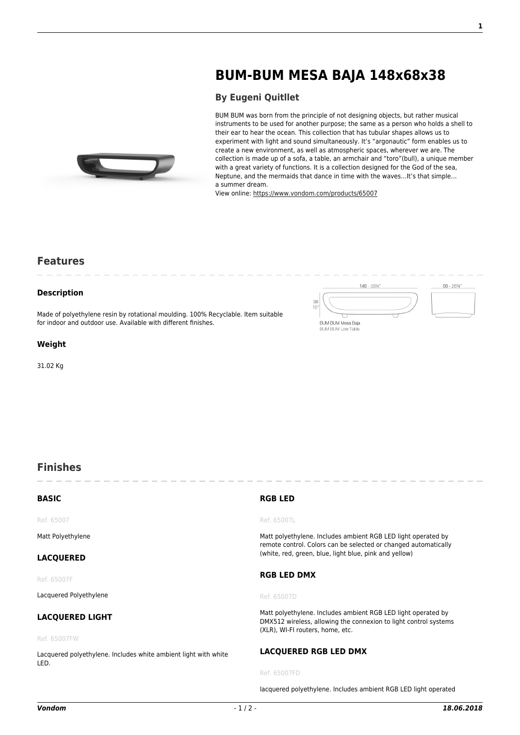# **[BUM-BUM MESA BAJA 148x68x38](https://www.vondom.com/products/?product=65007)**

# **[By Eugeni Quitllet](https://www.vondom.com/designers/eugeni-quitllet/)**

BUM BUM was born from the principle of not designing objects, but rather musical instruments to be used for another purpose; the same as a person who holds a shell to their ear to hear the ocean. This collection that has tubular shapes allows us to experiment with light and sound simultaneously. It's "argonautic" form enables us to create a new environment, as well as atmospheric spaces, wherever we are. The collection is made up of a sofa, a table, an armchair and "toro"(bull), a unique member with a great variety of functions. It is a collection designed for the God of the sea, Neptune, and the mermaids that dance in time with the waves…It's that simple… a summer dream.

View online: [https://www.vondom.com/products/65007](https://www.vondom.com/products/?product=65007)

# **Features**

### **Description**

Made of polyethylene resin by rotational moulding. 100% Recyclable. Item suitable for indoor and outdoor use. Available with different finishes.

### **Weight**

31.02 Kg



lacquered polyethylene. Includes ambient RGB LED light operated

# **Finishes**

| <b>BASIC</b>                                                            | <b>RGB LED</b>                                                                                                                                                        |
|-------------------------------------------------------------------------|-----------------------------------------------------------------------------------------------------------------------------------------------------------------------|
| Ref. 65007                                                              | Ref. 65007L                                                                                                                                                           |
| Matt Polyethylene                                                       | Matt polyethylene. Includes ambient RGB LED light operated by<br>remote control. Colors can be selected or changed automatically                                      |
| <b>LACQUERED</b>                                                        | (white, red, green, blue, light blue, pink and yellow)                                                                                                                |
| Ref. 65007F                                                             | <b>RGB LED DMX</b>                                                                                                                                                    |
| Lacquered Polyethylene                                                  | Ref. 65007D                                                                                                                                                           |
| <b>LACQUERED LIGHT</b>                                                  | Matt polyethylene. Includes ambient RGB LED light operated by<br>DMX512 wireless, allowing the connexion to light control systems<br>(XLR), WI-FI routers, home, etc. |
| Ref. 65007FW                                                            |                                                                                                                                                                       |
| Lacquered polyethylene. Includes white ambient light with white<br>LED. | LACQUERED RGB LED DMX                                                                                                                                                 |
|                                                                         | Ref. 65007FD                                                                                                                                                          |